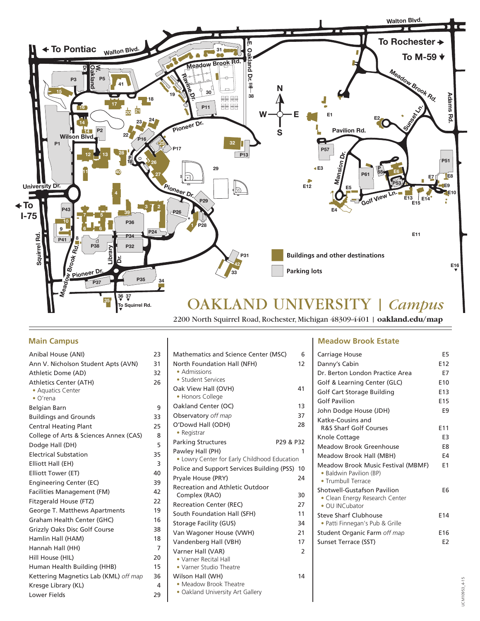

## **Main Campus**

| Anibal House (ANI)                     | 23             | Mathematics and Science Center (MSC)                             | 6              |
|----------------------------------------|----------------|------------------------------------------------------------------|----------------|
| Ann V. Nicholson Student Apts (AVN)    | 31             | North Foundation Hall (NFH)                                      | 12             |
| Athletic Dome (AD)                     | 32             | • Admissions                                                     |                |
| <b>Athletics Center (ATH)</b>          | 26             | • Student Services                                               |                |
| • Aquatics Center                      |                | Oak View Hall (OVH)<br>• Honors College                          | 41             |
| $\bullet$ O'rena                       |                | Oakland Center (OC)                                              | 13             |
| Belgian Barn                           | 9              |                                                                  |                |
| <b>Buildings and Grounds</b>           | 33             | Observatory off map                                              | 37             |
| <b>Central Heating Plant</b>           | 25             | O'Dowd Hall (ODH)                                                | 28             |
| College of Arts & Sciences Annex (CAS) | 8              | • Registrar                                                      |                |
| Dodge Hall (DH)                        | 5              | <b>Parking Structures</b>                                        | P29 & P32      |
| <b>Electrical Substation</b>           | 35             | Pawley Hall (PH)<br>• Lowry Center for Early Childhood Education | $\mathbf{1}$   |
| Elliott Hall (EH)                      | 3              | Police and Support Services Building (PSS) 10                    |                |
| Elliott Tower (ET)                     | 40             |                                                                  | 24             |
| Engineering Center (EC)                | 39             | Pryale House (PRY)                                               |                |
| Facilities Management (FM)             | 42             | <b>Recreation and Athletic Outdoor</b><br>Complex (RAO)          | 30             |
| Fitzgerald House (FTZ)                 | 22             | <b>Recreation Center (REC)</b>                                   | 27             |
| George T. Matthews Apartments          | 19             | South Foundation Hall (SFH)                                      | 11             |
| Graham Health Center (GHC)             | 16             | Storage Facility (GUS)                                           | 34             |
| <b>Grizzly Oaks Disc Golf Course</b>   | 38             | Van Wagoner House (VWH)                                          | 21             |
| Hamlin Hall (HAM)                      | 18             | Vandenberg Hall (VBH)                                            | 17             |
| Hannah Hall (HH)                       | $\overline{7}$ | Varner Hall (VAR)                                                | $\overline{2}$ |
| Hill House (HIL)                       | 20             | • Varner Recital Hall                                            |                |
| Human Health Building (HHB)            | 15             | • Varner Studio Theatre                                          |                |
| Kettering Magnetics Lab (KML) off map  | 36             | Wilson Hall (WH)                                                 | 14             |
| Kresge Library (KL)                    | 4              | • Meadow Brook Theatre                                           |                |
| Lower Fields                           | 29             | • Oakland University Art Gallery                                 |                |
|                                        |                |                                                                  |                |

## **Meadow Brook Estate**

| Carriage House                                                                          |     |
|-----------------------------------------------------------------------------------------|-----|
| Danny's Cabin                                                                           |     |
| Dr. Berton London Practice Area                                                         |     |
| Golf & Learning Center (GLC)                                                            |     |
| Golf Cart Storage Building                                                              |     |
| Golf Pavilion                                                                           |     |
| John Dodge House (JDH)                                                                  |     |
| Katke-Cousins and                                                                       |     |
| <b>R&amp;S Sharf Golf Courses</b>                                                       | E11 |
| Knole Cottage                                                                           |     |
| Meadow Brook Greenhouse                                                                 |     |
| Meadow Brook Hall (MBH)                                                                 |     |
| Meadow Brook Music Festival (MBMF)<br>• Baldwin Pavilion (BP)<br>• Trumbull Terrace     |     |
| Shotwell-Gustafson Pavilion<br>• Clean Energy Research Center<br>$\bullet$ OU INCubator |     |
| Steve Sharf Clubhouse<br>• Patti Finnegan's Pub & Grille                                |     |
| Student Organic Farm off map                                                            |     |
| Sunset Terrace (SST)                                                                    |     |
|                                                                                         |     |

## UCM10953\_4-15 UCM10953\_4-15